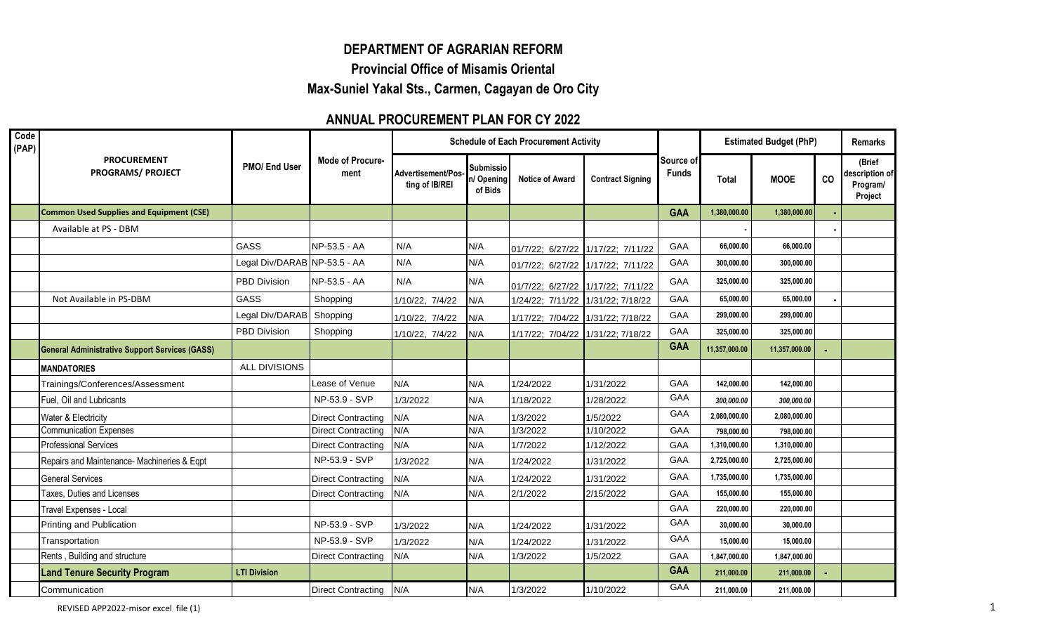## **DEPARTMENT OF AGRARIAN REFORM**

**Provincial Office of Misamis Oriental**

**Max-Suniel Yakal Sts., Carmen, Cagayan de Oro City**

## **ANNUAL PROCUREMENT PLAN FOR CY 2022**

| Code<br>(PAP) | <b>PROCUREMENT</b><br><b>PROGRAMS/ PROJECT</b>        |                              |                                 | <b>Schedule of Each Procurement Activity</b> |                                           |                                   |                         |                           |               | <b>Estimated Budget (PhP)</b> | <b>Remarks</b> |                                                 |
|---------------|-------------------------------------------------------|------------------------------|---------------------------------|----------------------------------------------|-------------------------------------------|-----------------------------------|-------------------------|---------------------------|---------------|-------------------------------|----------------|-------------------------------------------------|
|               |                                                       | PMO/ End User                | <b>Mode of Procure-</b><br>ment | Advertisement/Pos-<br>ting of IB/REI         | <b>Submissio</b><br>In/Opening<br>of Bids | <b>Notice of Award</b>            | <b>Contract Signing</b> | Source of<br><b>Funds</b> | <b>Total</b>  | <b>MOOE</b>                   | co             | (Brief<br>description of<br>Program/<br>Project |
|               | <b>Common Used Supplies and Equipment (CSE)</b>       |                              |                                 |                                              |                                           |                                   |                         | <b>GAA</b>                | 1,380,000.00  | 1,380,000.00                  |                |                                                 |
|               | Available at PS - DBM                                 |                              |                                 |                                              |                                           |                                   |                         |                           |               |                               |                |                                                 |
|               |                                                       | <b>GASS</b>                  | NP-53.5 - AA                    | N/A                                          | N/A                                       | 01/7/22; 6/27/22 1/17/22; 7/11/22 |                         | GAA                       | 66,000.00     | 66,000.00                     |                |                                                 |
|               |                                                       | Legal Div/DARAB NP-53.5 - AA |                                 | N/A                                          | N/A                                       | 01/7/22; 6/27/22 1/17/22; 7/11/22 |                         | GAA                       | 300,000.00    | 300,000.00                    |                |                                                 |
|               |                                                       | <b>PBD Division</b>          | NP-53.5 - AA                    | N/A                                          | N/A                                       | 01/7/22; 6/27/22 1/17/22; 7/11/22 |                         | GAA                       | 325,000.00    | 325,000.00                    |                |                                                 |
|               | Not Available in PS-DBM                               | GASS                         | Shopping                        | 1/10/22, 7/4/22                              | N/A                                       | 1/24/22; 7/11/22 1/31/22; 7/18/22 |                         | GAA                       | 65,000.00     | 65,000.00                     |                |                                                 |
|               |                                                       | Legal Div/DARAB              | Shopping                        | 1/10/22, 7/4/22                              | N/A                                       | 1/17/22; 7/04/22 1/31/22; 7/18/22 |                         | GAA                       | 299,000.00    | 299,000.00                    |                |                                                 |
|               |                                                       | PBD Division                 | Shopping                        | 1/10/22, 7/4/22                              | N/A                                       | 1/17/22; 7/04/22 1/31/22; 7/18/22 |                         | GAA                       | 325,000.00    | 325,000.00                    |                |                                                 |
|               | <b>General Administrative Support Services (GASS)</b> |                              |                                 |                                              |                                           |                                   |                         | <b>GAA</b>                | 11,357,000.00 | 11,357,000.00                 |                |                                                 |
|               | <b>MANDATORIES</b>                                    | ALL DIVISIONS                |                                 |                                              |                                           |                                   |                         |                           |               |                               |                |                                                 |
|               | Trainings/Conferences/Assessment                      |                              | Lease of Venue                  | N/A                                          | N/A                                       | 1/24/2022                         | 1/31/2022               | GAA                       | 142,000.00    | 142,000.00                    |                |                                                 |
|               | Fuel, Oil and Lubricants                              |                              | NP-53.9 - SVP                   | 1/3/2022                                     | N/A                                       | 1/18/2022                         | 1/28/2022               | GAA                       | 300,000.00    | 300,000.00                    |                |                                                 |
|               | Water & Electricity                                   |                              | <b>Direct Contracting</b>       | N/A                                          | N/A                                       | 1/3/2022                          | 1/5/2022                | <b>GAA</b>                | 2,080,000.00  | 2,080,000.00                  |                |                                                 |
|               | <b>Communication Expenses</b>                         |                              | <b>Direct Contracting</b>       | N/A                                          | N/A                                       | 1/3/2022                          | 1/10/2022               | GAA                       | 798,000.00    | 798,000.00                    |                |                                                 |
|               | <b>Professional Services</b>                          |                              | <b>Direct Contracting</b>       | N/A                                          | N/A                                       | 1/7/2022                          | 1/12/2022               | GAA                       | 1,310,000.00  | 1,310,000.00                  |                |                                                 |
|               | Repairs and Maintenance- Machineries & Eqpt           |                              | NP-53.9 - SVP                   | 1/3/2022                                     | N/A                                       | 1/24/2022                         | 1/31/2022               | GAA                       | 2,725,000.00  | 2,725,000.00                  |                |                                                 |
|               | <b>General Services</b>                               |                              | <b>Direct Contracting</b>       | N/A                                          | N/A                                       | 1/24/2022                         | 1/31/2022               | GAA                       | 1,735,000.00  | 1,735,000.00                  |                |                                                 |
|               | Taxes, Duties and Licenses                            |                              | <b>Direct Contracting</b>       | N/A                                          | N/A                                       | 2/1/2022                          | 2/15/2022               | GAA                       | 155,000.00    | 155,000.00                    |                |                                                 |
|               | Travel Expenses - Local                               |                              |                                 |                                              |                                           |                                   |                         | GAA                       | 220,000.00    | 220.000.00                    |                |                                                 |
|               | Printing and Publication                              |                              | NP-53.9 - SVP                   | 1/3/2022                                     | N/A                                       | 1/24/2022                         | 1/31/2022               | GAA                       | 30,000.00     | 30,000.00                     |                |                                                 |
|               | Transportation                                        |                              | NP-53.9 - SVP                   | 1/3/2022                                     | N/A                                       | 1/24/2022                         | 1/31/2022               | <b>GAA</b>                | 15,000.00     | 15,000.00                     |                |                                                 |
|               | Rents, Building and structure                         |                              | <b>Direct Contracting</b>       | N/A                                          | N/A                                       | 1/3/2022                          | 1/5/2022                | GAA                       | 1,847,000.00  | 1,847,000.00                  |                |                                                 |
|               | <b>Land Tenure Security Program</b>                   | <b>LTI Division</b>          |                                 |                                              |                                           |                                   |                         | <b>GAA</b>                | 211,000.00    | 211,000.00                    |                |                                                 |
|               | Communication                                         |                              | <b>Direct Contracting</b>       | N/A                                          | N/A                                       | 1/3/2022                          | 1/10/2022               | GAA                       | 211,000.00    | 211,000.00                    |                |                                                 |

REVISED APP2022-misor excel file (1) 2012 1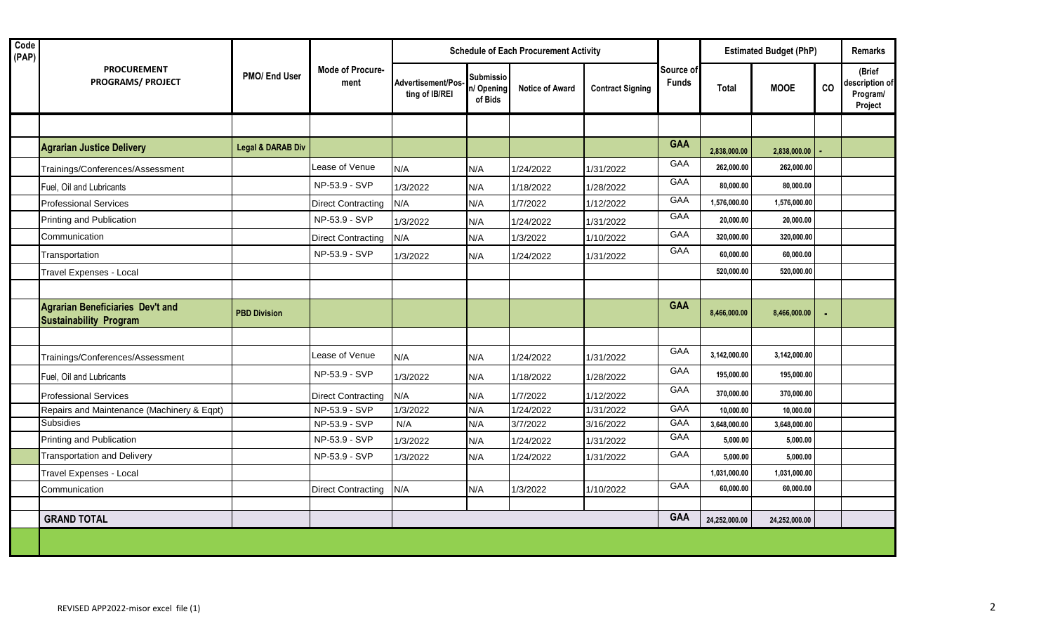| Code<br>(PAP) |                                                                          |                              | <b>Mode of Procure-</b><br>ment | <b>Schedule of Each Procurement Activity</b> |                                           |                        |                         |                           | <b>Estimated Budget (PhP)</b> |               |    | <b>Remarks</b>                                  |  |
|---------------|--------------------------------------------------------------------------|------------------------------|---------------------------------|----------------------------------------------|-------------------------------------------|------------------------|-------------------------|---------------------------|-------------------------------|---------------|----|-------------------------------------------------|--|
|               | <b>PROCUREMENT</b><br><b>PROGRAMS/ PROJECT</b>                           | PMO/ End User                |                                 | Advertisement/Pos-<br>ting of IB/REI         | <b>Submissio</b><br>n/ Opening<br>of Bids | <b>Notice of Award</b> | <b>Contract Signing</b> | Source of<br><b>Funds</b> | <b>Total</b>                  | <b>MOOE</b>   | co | (Brief<br>description of<br>Program/<br>Project |  |
|               |                                                                          |                              |                                 |                                              |                                           |                        |                         |                           |                               |               |    |                                                 |  |
|               | <b>Agrarian Justice Delivery</b>                                         | <b>Legal &amp; DARAB Div</b> |                                 |                                              |                                           |                        |                         | <b>GAA</b>                | 2,838,000.00                  | 2,838,000.00  |    |                                                 |  |
|               | Trainings/Conferences/Assessment                                         |                              | Lease of Venue                  | N/A                                          | N/A                                       | 1/24/2022              | 1/31/2022               | GAA                       | 262,000.00                    | 262,000.00    |    |                                                 |  |
|               | Fuel, Oil and Lubricants                                                 |                              | NP-53.9 - SVP                   | 1/3/2022                                     | N/A                                       | 1/18/2022              | 1/28/2022               | GAA                       | 80,000.00                     | 80,000.00     |    |                                                 |  |
|               | <b>Professional Services</b>                                             |                              | <b>Direct Contracting</b>       | N/A                                          | N/A                                       | 1/7/2022               | 1/12/2022               | GAA                       | 1,576,000.00                  | 1,576,000.00  |    |                                                 |  |
|               | Printing and Publication                                                 |                              | NP-53.9 - SVP                   | 1/3/2022                                     | N/A                                       | 1/24/2022              | 1/31/2022               | GAA                       | 20,000.00                     | 20,000.00     |    |                                                 |  |
|               | Communication                                                            |                              | <b>Direct Contracting</b>       | N/A                                          | N/A                                       | 1/3/2022               | 1/10/2022               | GAA                       | 320,000.00                    | 320,000.00    |    |                                                 |  |
|               | Transportation                                                           |                              | NP-53.9 - SVP                   | 1/3/2022                                     | N/A                                       | 1/24/2022              | 1/31/2022               | <b>GAA</b>                | 60,000.00                     | 60,000.00     |    |                                                 |  |
|               | Travel Expenses - Local                                                  |                              |                                 |                                              |                                           |                        |                         |                           | 520,000.00                    | 520,000.00    |    |                                                 |  |
|               |                                                                          |                              |                                 |                                              |                                           |                        |                         |                           |                               |               |    |                                                 |  |
|               | <b>Agrarian Beneficiaries Dev't and</b><br><b>Sustainability Program</b> | <b>PBD Division</b>          |                                 |                                              |                                           |                        |                         | <b>GAA</b>                | 8,466,000.00                  | 8,466,000.00  |    |                                                 |  |
|               |                                                                          |                              |                                 |                                              |                                           |                        |                         |                           |                               |               |    |                                                 |  |
|               | Trainings/Conferences/Assessment                                         |                              | Lease of Venue                  | N/A                                          | N/A                                       | 1/24/2022              | 1/31/2022               | GAA                       | 3,142,000.00                  | 3,142,000.00  |    |                                                 |  |
|               | Fuel, Oil and Lubricants                                                 |                              | NP-53.9 - SVP                   | 1/3/2022                                     | N/A                                       | 1/18/2022              | 1/28/2022               | GAA                       | 195,000.00                    | 195.000.00    |    |                                                 |  |
|               | <b>Professional Services</b>                                             |                              | <b>Direct Contracting</b>       | N/A                                          | N/A                                       | 1/7/2022               | 1/12/2022               | GAA                       | 370,000.00                    | 370,000.00    |    |                                                 |  |
|               | Repairs and Maintenance (Machinery & Eqpt)                               |                              | NP-53.9 - SVP                   | 1/3/2022                                     | N/A                                       | 1/24/2022              | 1/31/2022               | GAA                       | 10,000.00                     | 10,000.00     |    |                                                 |  |
|               | Subsidies                                                                |                              | NP-53.9 - SVP                   | N/A                                          | N/A                                       | 3/7/2022               | 3/16/2022               | GAA                       | 3,648,000.00                  | 3,648,000.00  |    |                                                 |  |
|               | Printing and Publication                                                 |                              | NP-53.9 - SVP                   | 1/3/2022                                     | N/A                                       | 1/24/2022              | 1/31/2022               | GAA                       | 5,000.00                      | 5,000.00      |    |                                                 |  |
|               | <b>Transportation and Delivery</b>                                       |                              | NP-53.9 - SVP                   | 1/3/2022                                     | N/A                                       | 1/24/2022              | 1/31/2022               | GAA                       | 5,000.00                      | 5,000.00      |    |                                                 |  |
|               | Travel Expenses - Local                                                  |                              |                                 |                                              |                                           |                        |                         |                           | 1,031,000.00                  | 1,031,000.00  |    |                                                 |  |
|               | Communication                                                            |                              | <b>Direct Contracting</b>       | N/A                                          | N/A                                       | 1/3/2022               | 1/10/2022               | GAA                       | 60,000.00                     | 60,000.00     |    |                                                 |  |
|               |                                                                          |                              |                                 |                                              |                                           |                        |                         |                           |                               |               |    |                                                 |  |
|               | <b>GRAND TOTAL</b>                                                       |                              |                                 |                                              |                                           |                        |                         | <b>GAA</b>                | 24,252,000.00                 | 24,252,000.00 |    |                                                 |  |
|               |                                                                          |                              |                                 |                                              |                                           |                        |                         |                           |                               |               |    |                                                 |  |